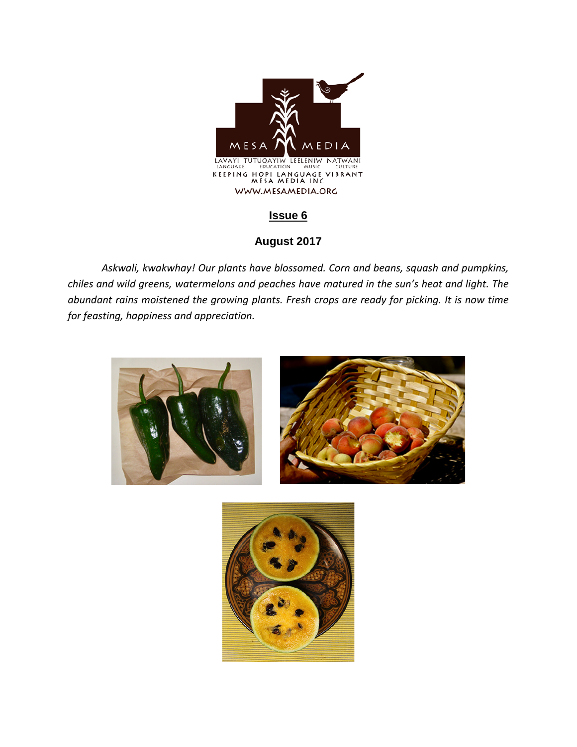

#### **Issue 6**

### **August 2017**

*Askwali, kwakwhay! Our plants have blossomed. Corn and beans, squash and pumpkins, chiles and wild greens, watermelons and peaches have matured in the sun's heat and light. The abundant rains moistened the growing plants. Fresh crops are ready for picking. It is now time for feasting, happiness and appreciation.*



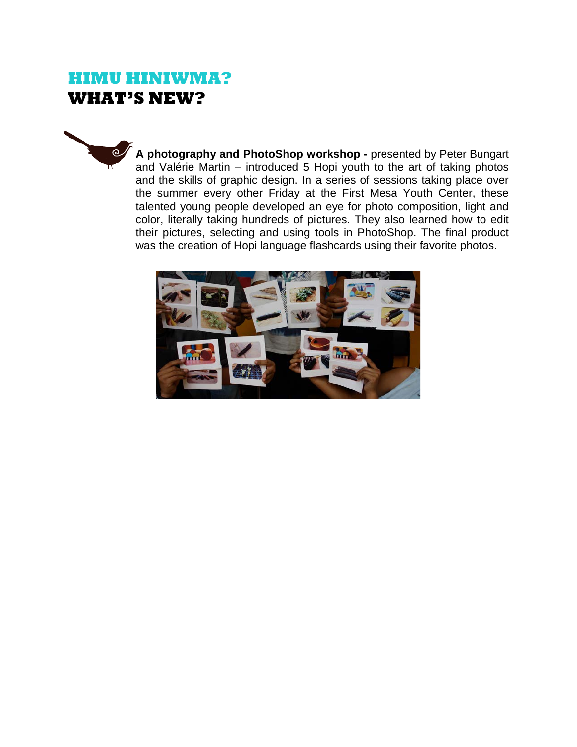# **HIMU HINIWMA? WHAT'S NEW?**



**A photography and PhotoShop workshop -** presented by Peter Bungart and Valérie Martin – introduced 5 Hopi youth to the art of taking photos and the skills of graphic design. In a series of sessions taking place over the summer every other Friday at the First Mesa Youth Center, these talented young people developed an eye for photo composition, light and color, literally taking hundreds of pictures. They also learned how to edit their pictures, selecting and using tools in PhotoShop. The final product was the creation of Hopi language flashcards using their favorite photos.

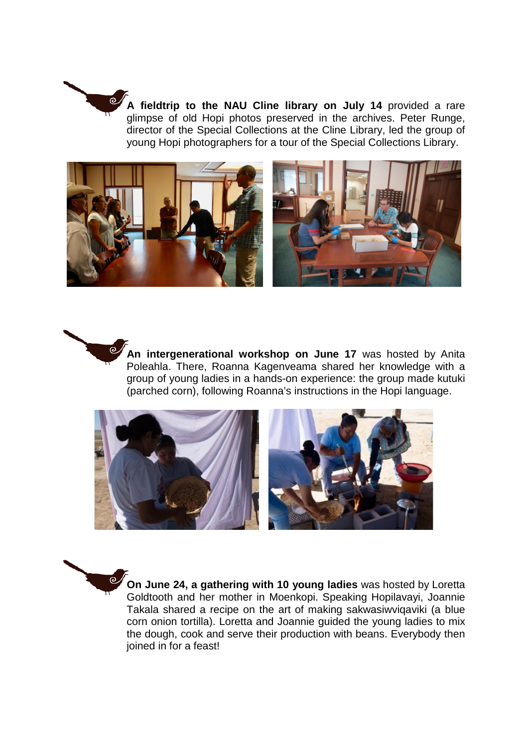

**A fieldtrip to the NAU Cline library on July 14** provided a rare glimpse of old Hopi photos preserved in the archives. Peter Runge, director of the Special Collections at the Cline Library, led the group of young Hopi photographers for a tour of the Special Collections Library.





**An intergenerational workshop on June 17** was hosted by Anita Poleahla. There, Roanna Kagenveama shared her knowledge with a group of young ladies in a hands-on experience: the group made kutuki (parched corn), following Roanna's instructions in the Hopi language.



**On June 24, a gathering with 10 young ladies** was hosted by Loretta Goldtooth and her mother in Moenkopi. Speaking Hopilavayi, Joannie Takala shared a recipe on the art of making sakwasiwviqaviki (a blue corn onion tortilla). Loretta and Joannie guided the young ladies to mix the dough, cook and serve their production with beans. Everybody then joined in for a feast!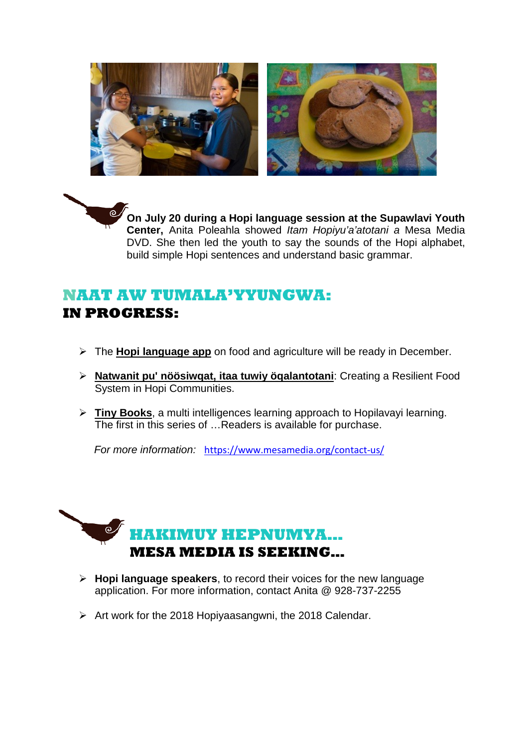

**On July 20 during a Hopi language session at the Supawlavi Youth Center,** Anita Poleahla showed *Itam Hopiyu'a'atotani a* Mesa Media DVD. She then led the youth to say the sounds of the Hopi alphabet, build simple Hopi sentences and understand basic grammar.

# **NAAT AW TUMALA'YYUNGWA: IN PROGRESS:**

- The **Hopi language app** on food and agriculture will be ready in December.
- **Natwanit pu' nöösiwqat, itaa tuwiy öqalantotani**: Creating a Resilient Food System in Hopi Communities.
- **Tiny Books**, a multi intelligences learning approach to Hopilavayi learning. The first in this series of …Readers is available for purchase.

*For more information:* https://www.mesamedia.org/contact-us/



- **Hopi language speakers**, to record their voices for the new language application. For more information, contact Anita @ 928-737-2255
- $\triangleright$  Art work for the 2018 Hopiyaasangwni, the 2018 Calendar.